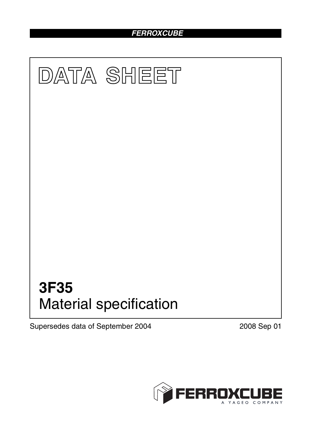# *FERROXCUBE*



Supersedes data of September 2004 2008 Sep 01

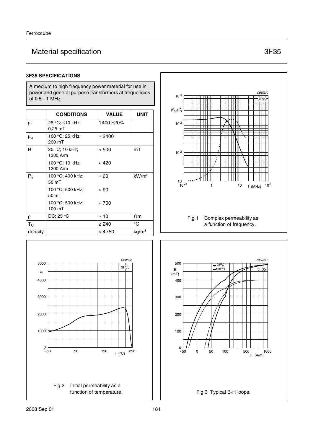# Material specification 3F35

#### **3F35 SPECIFICATIONS**

A medium to high frequency power material for use in power and general purpose transformers at frequencies of 0.5 - 1 MHz.

|             | <b>CONDITIONS</b>            | <b>VALUE</b>   | <b>UNIT</b>       |
|-------------|------------------------------|----------------|-------------------|
| μi          | 25 °C; ≤10 kHz;<br>$0.25$ mT | 1400 ±20%      |                   |
| $\mu_{a}$   | 100 °C; 25 kHz;<br>200 mT    | $\approx$ 2400 |                   |
| B           | 25 °C; 10 kHz;<br>1200 A/m   | $\approx 500$  | mT                |
|             | 100 °C; 10 kHz;<br>1200 A/m  | $\approx 420$  |                   |
| $P_v$       | 100 °C; 400 kHz;<br>50 mT    | $\approx 60$   | $\mathrm{kW/m^3}$ |
|             | 100 °C; 500 kHz;<br>50 mT    | $\approx 90$   |                   |
|             | 100 °C; 500 kHz;<br>100 mT   | $\approx 700$  |                   |
| ρ           | DC: 25 °C                    | $\approx$ 10   | $\Omega$ m        |
| $T_{\rm C}$ |                              | $\geq 240$     | °C                |
| density     |                              | $\approx 4750$ | kg/m <sup>3</sup> |





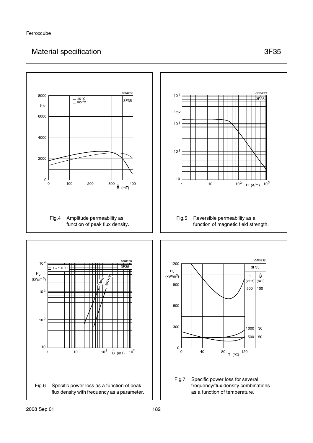## Material specification 3F35